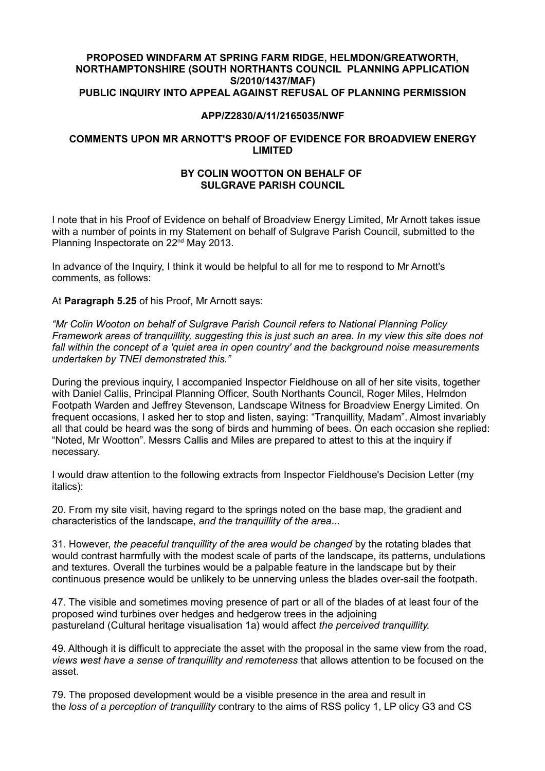## **PROPOSED WINDFARM AT SPRING FARM RIDGE, HELMDON/GREATWORTH, NORTHAMPTONSHIRE (SOUTH NORTHANTS COUNCIL PLANNING APPLICATION S/2010/1437/MAF) PUBLIC INQUIRY INTO APPEAL AGAINST REFUSAL OF PLANNING PERMISSION**

## **APP/Z2830/A/11/2165035/NWF**

## **COMMENTS UPON MR ARNOTT'S PROOF OF EVIDENCE FOR BROADVIEW ENERGY LIMITED**

## **BY COLIN WOOTTON ON BEHALF OF SULGRAVE PARISH COUNCIL**

I note that in his Proof of Evidence on behalf of Broadview Energy Limited, Mr Arnott takes issue with a number of points in my Statement on behalf of Sulgrave Parish Council, submitted to the Planning Inspectorate on 22<sup>nd</sup> May 2013.

In advance of the Inquiry, I think it would be helpful to all for me to respond to Mr Arnott's comments, as follows:

At **Paragraph 5.25** of his Proof, Mr Arnott says:

*"Mr Colin Wooton on behalf of Sulgrave Parish Council refers to National Planning Policy Framework areas of tranquillity, suggesting this is just such an area. In my view this site does not fall within the concept of a 'quiet area in open country' and the background noise measurements undertaken by TNEI demonstrated this."*

During the previous inquiry, I accompanied Inspector Fieldhouse on all of her site visits, together with Daniel Callis, Principal Planning Officer, South Northants Council, Roger Miles, Helmdon Footpath Warden and Jeffrey Stevenson, Landscape Witness for Broadview Energy Limited. On frequent occasions, I asked her to stop and listen, saying: "Tranquillity, Madam". Almost invariably all that could be heard was the song of birds and humming of bees. On each occasion she replied: "Noted, Mr Wootton". Messrs Callis and Miles are prepared to attest to this at the inquiry if necessary.

I would draw attention to the following extracts from Inspector Fieldhouse's Decision Letter (my italics):

20. From my site visit, having regard to the springs noted on the base map, the gradient and characteristics of the landscape, *and the tranquillity of the area*...

31. However, *the peaceful tranquillity of the area would be changed* by the rotating blades that would contrast harmfully with the modest scale of parts of the landscape, its patterns, undulations and textures. Overall the turbines would be a palpable feature in the landscape but by their continuous presence would be unlikely to be unnerving unless the blades over-sail the footpath.

47. The visible and sometimes moving presence of part or all of the blades of at least four of the proposed wind turbines over hedges and hedgerow trees in the adjoining pastureland (Cultural heritage visualisation 1a) would affect *the perceived tranquillity.*

49. Although it is difficult to appreciate the asset with the proposal in the same view from the road, *views west have a sense of tranquillity and remoteness* that allows attention to be focused on the asset.

79. The proposed development would be a visible presence in the area and result in the *loss of a perception of tranquillity* contrary to the aims of RSS policy 1, LP olicy G3 and CS